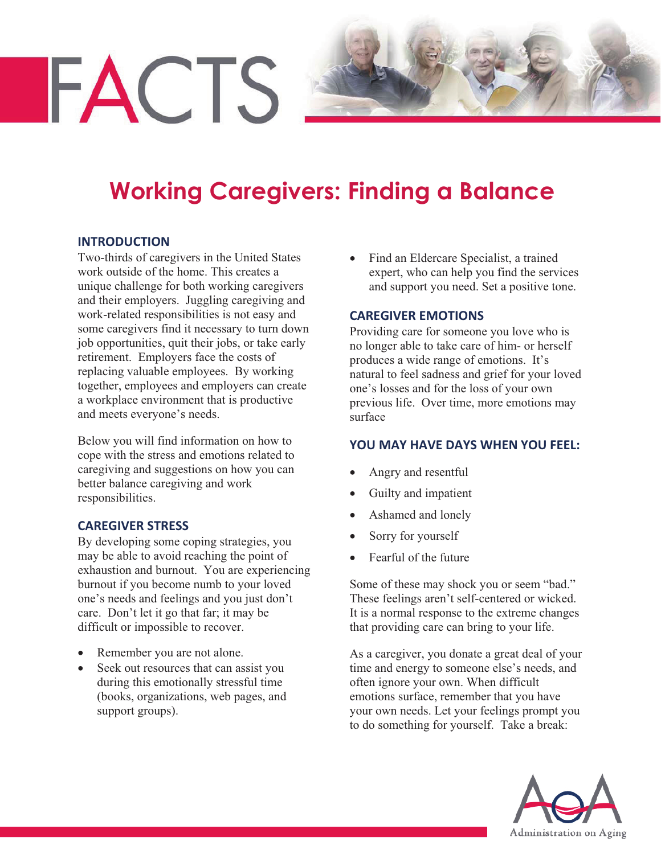# **Working Caregivers: Finding a Balance**

## **INTRODUCTION**

**FACTS** 

Two-thirds of caregivers in the United States work outside of the home. This creates a unique challenge for both working caregivers and their employers. Juggling caregiving and work-related responsibilities is not easy and some caregivers find it necessary to turn down job opportunities, quit their jobs, or take early retirement. Employers face the costs of replacing valuable employees. By working together, employees and employers can create a workplace environment that is productive and meets everyone's needs.

Below you will find information on how to cope with the stress and emotions related to caregiving and suggestions on how you can better balance caregiving and work responsibilities.

### **CAREGIVER STRESS**

By developing some coping strategies, you may be able to avoid reaching the point of exhaustion and burnout. You are experiencing burnout if you become numb to your loved one's needs and feelings and you just don't care. Don't let it go that far; it may be difficult or impossible to recover.

- Remember you are not alone.
- Seek out resources that can assist you during this emotionally stressful time (books, organizations, web pages, and support groups).

! Find an Eldercare Specialist, a trained expert, who can help you find the services and support you need. Set a positive tone.

### **CAREGIVER EMOTIONS!!**

Providing care for someone you love who is no longer able to take care of him- or herself produces a wide range of emotions. It's natural to feel sadness and grief for your loved one's losses and for the loss of your own previous life. Over time, more emotions may surface

### **YOU MAY HAVE DAYS WHEN YOU FEEL:**

- ! Angry and resentful
- Guilty and impatient
- Ashamed and lonely
- Sorry for yourself
- ! Fearful of the future

Some of these may shock you or seem "bad." These feelings aren't self-centered or wicked. It is a normal response to the extreme changes that providing care can bring to your life.

As a caregiver, you donate a great deal of your time and energy to someone else's needs, and often ignore your own. When difficult emotions surface, remember that you have your own needs. Let your feelings prompt you to do something for yourself. Take a break: